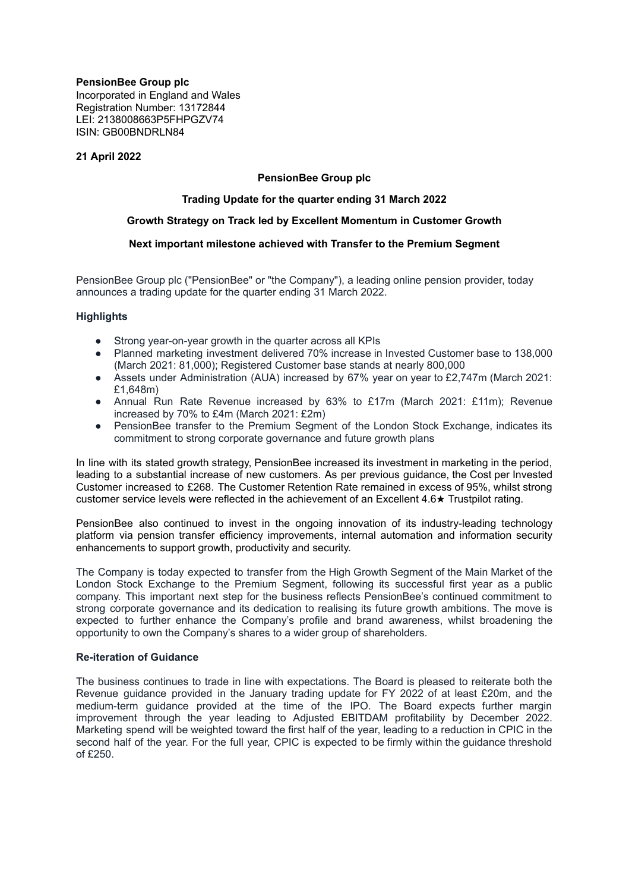# **PensionBee Group plc**

Incorporated in England and Wales Registration Number: 13172844 LEI: 2138008663P5FHPGZV74 ISIN: GB00BNDRLN84

## **21 April 2022**

## **PensionBee Group plc**

## **Trading Update for the quarter ending 31 March 2022**

## **Growth Strategy on Track led by Excellent Momentum in Customer Growth**

## **Next important milestone achieved with Transfer to the Premium Segment**

PensionBee Group plc ("PensionBee" or "the Company"), a leading online pension provider, today announces a trading update for the quarter ending 31 March 2022.

## **Highlights**

- Strong year-on-year growth in the quarter across all KPIs
- Planned marketing investment delivered 70% increase in Invested Customer base to 138,000 (March 2021: 81,000); Registered Customer base stands at nearly 800,000
- Assets under Administration (AUA) increased by 67% year on year to £2,747m (March 2021: £1,648m)
- Annual Run Rate Revenue increased by 63% to £17m (March 2021: £11m); Revenue increased by 70% to £4m (March 2021: £2m)
- PensionBee transfer to the Premium Segment of the London Stock Exchange, indicates its commitment to strong corporate governance and future growth plans

In line with its stated growth strategy, PensionBee increased its investment in marketing in the period, leading to a substantial increase of new customers. As per previous guidance, the Cost per Invested Customer increased to £268. The Customer Retention Rate remained in excess of 95%, whilst strong customer service levels were reflected in the achievement of an Excellent 4.6★ Trustpilot rating.

PensionBee also continued to invest in the ongoing innovation of its industry-leading technology platform via pension transfer efficiency improvements, internal automation and information security enhancements to support growth, productivity and security.

The Company is today expected to transfer from the High Growth Segment of the Main Market of the London Stock Exchange to the Premium Segment, following its successful first year as a public company. This important next step for the business reflects PensionBee's continued commitment to strong corporate governance and its dedication to realising its future growth ambitions. The move is expected to further enhance the Company's profile and brand awareness, whilst broadening the opportunity to own the Company's shares to a wider group of shareholders.

### **Re-iteration of Guidance**

The business continues to trade in line with expectations. The Board is pleased to reiterate both the Revenue guidance provided in the January trading update for FY 2022 of at least £20m, and the medium-term guidance provided at the time of the IPO. The Board expects further margin improvement through the year leading to Adjusted EBITDAM profitability by December 2022. Marketing spend will be weighted toward the first half of the year, leading to a reduction in CPIC in the second half of the year. For the full year, CPIC is expected to be firmly within the guidance threshold of £250.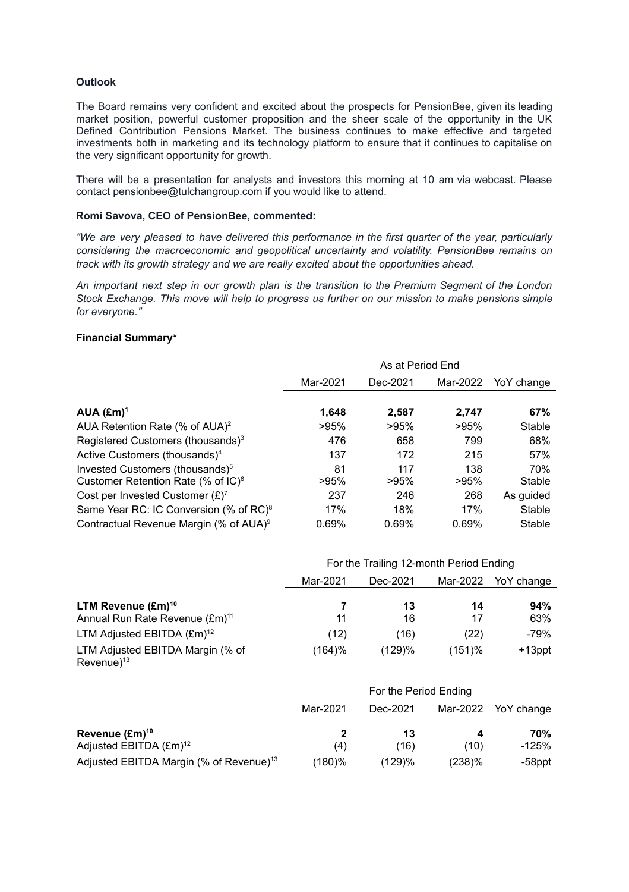## **Outlook**

The Board remains very confident and excited about the prospects for PensionBee, given its leading market position, powerful customer proposition and the sheer scale of the opportunity in the UK Defined Contribution Pensions Market. The business continues to make effective and targeted investments both in marketing and its technology platform to ensure that it continues to capitalise on the very significant opportunity for growth.

There will be a presentation for analysts and investors this morning at 10 am via webcast. Please contact pensionbee@tulchangroup.com if you would like to attend.

#### **Romi Savova, CEO of PensionBee, commented:**

*"We are very pleased to have delivered this performance in the first quarter of the year, particularly considering the macroeconomic and geopolitical uncertainty and volatility. PensionBee remains on track with its growth strategy and we are really excited about the opportunities ahead.*

*An important next step in our growth plan is the transition to the Premium Segment of the London Stock Exchange. This move will help to progress us further on our mission to make pensions simple for everyone."*

## **Financial Summary\***

|                                                    | As at Period End |          |          |            |
|----------------------------------------------------|------------------|----------|----------|------------|
|                                                    | Mar-2021         | Dec-2021 | Mar-2022 | YoY change |
|                                                    |                  |          |          |            |
| $AUA$ (£m) <sup>1</sup>                            | 1,648            | 2,587    | 2.747    | 67%        |
| AUA Retention Rate (% of $AUA$ ) <sup>2</sup>      | >95%             | >95%     | >95%     | Stable     |
| Registered Customers (thousands) <sup>3</sup>      | 476              | 658      | 799      | 68%        |
| Active Customers (thousands) <sup>4</sup>          | 137              | 172      | 215      | 57%        |
| Invested Customers (thousands) <sup>5</sup>        | 81               | 117      | 138      | 70%        |
| Customer Retention Rate (% of IC) <sup>6</sup>     | >95%             | >95%     | >95%     | Stable     |
| Cost per Invested Customer $(E)^7$                 | 237              | 246      | 268      | As guided  |
| Same Year RC: IC Conversion (% of RC) <sup>8</sup> | 17%              | 18%      | 17%      | Stable     |
| Contractual Revenue Margin (% of AUA) <sup>9</sup> | 0.69%            | 0.69%    | 0.69%    | Stable     |

|                                                                              |          | For the Trailing 12-month Period Ending |           |            |
|------------------------------------------------------------------------------|----------|-----------------------------------------|-----------|------------|
|                                                                              | Mar-2021 | Dec-2021                                | Mar-2022  | YoY change |
| LTM Revenue (£m) <sup>10</sup><br>Annual Run Rate Revenue (£m) <sup>11</sup> | 11       | 13<br>16                                | 14<br>17  | 94%<br>63% |
| LTM Adjusted EBITDA (£m) <sup>12</sup>                                       | (12)     | (16)                                    | (22)      | $-79%$     |
| LTM Adjusted EBITDA Margin (% of<br>$Re$ venue $)^{13}$                      | (164)%   | (129)%                                  | $(151)$ % | $+13$ ppt  |

|                                                                  | For the Period Ending |            |          |              |
|------------------------------------------------------------------|-----------------------|------------|----------|--------------|
|                                                                  | Mar-2021              | Dec-2021   | Mar-2022 | YoY change   |
| Revenue (£m) <sup>10</sup><br>Adjusted EBITDA (£m) <sup>12</sup> | 2<br>(4)              | 13<br>(16) | (10)     | 70%<br>-125% |
| Adjusted EBITDA Margin (% of Revenue) <sup>13</sup>              | (180)%                | (129)%     | (238)%   | -58ppt       |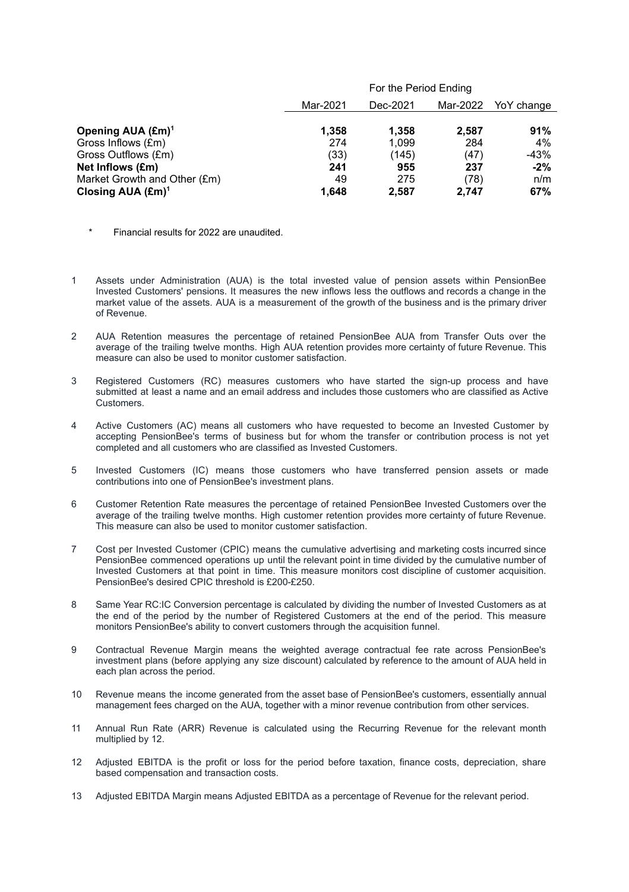|                               |          | For the Period Ending |          |            |
|-------------------------------|----------|-----------------------|----------|------------|
|                               | Mar-2021 | Dec-2021              | Mar-2022 | YoY change |
| Opening AUA (£m) <sup>1</sup> | 1,358    | 1.358                 | 2.587    | 91%        |
| Gross Inflows (£m)            | 274      | 1,099                 | 284      | 4%         |
| Gross Outflows (£m)           | (33)     | (145)                 | (47)     | -43%       |
| Net Inflows (£m)              | 241      | 955                   | 237      | $-2%$      |
| Market Growth and Other (£m)  | 49       | 275                   | (78)     | n/m        |
| Closing AUA $(\text{Em})^1$   | 1.648    | 2.587                 | 2.747    | 67%        |

- Financial results for 2022 are unaudited.
- 1 Assets under Administration (AUA) is the total invested value of pension assets within PensionBee Invested Customers' pensions. It measures the new inflows less the outflows and records a change in the market value of the assets. AUA is a measurement of the growth of the business and is the primary driver of Revenue.
- 2 AUA Retention measures the percentage of retained PensionBee AUA from Transfer Outs over the average of the trailing twelve months. High AUA retention provides more certainty of future Revenue. This measure can also be used to monitor customer satisfaction.
- 3 Registered Customers (RC) measures customers who have started the sign-up process and have submitted at least a name and an email address and includes those customers who are classified as Active Customers.
- 4 Active Customers (AC) means all customers who have requested to become an Invested Customer by accepting PensionBee's terms of business but for whom the transfer or contribution process is not yet completed and all customers who are classified as Invested Customers.
- 5 Invested Customers (IC) means those customers who have transferred pension assets or made contributions into one of PensionBee's investment plans.
- 6 Customer Retention Rate measures the percentage of retained PensionBee Invested Customers over the average of the trailing twelve months. High customer retention provides more certainty of future Revenue. This measure can also be used to monitor customer satisfaction.
- 7 Cost per Invested Customer (CPIC) means the cumulative advertising and marketing costs incurred since PensionBee commenced operations up until the relevant point in time divided by the cumulative number of Invested Customers at that point in time. This measure monitors cost discipline of customer acquisition. PensionBee's desired CPIC threshold is £200-£250.
- 8 Same Year RC:IC Conversion percentage is calculated by dividing the number of Invested Customers as at the end of the period by the number of Registered Customers at the end of the period. This measure monitors PensionBee's ability to convert customers through the acquisition funnel.
- 9 Contractual Revenue Margin means the weighted average contractual fee rate across PensionBee's investment plans (before applying any size discount) calculated by reference to the amount of AUA held in each plan across the period.
- 10 Revenue means the income generated from the asset base of PensionBee's customers, essentially annual management fees charged on the AUA, together with a minor revenue contribution from other services.
- 11 Annual Run Rate (ARR) Revenue is calculated using the Recurring Revenue for the relevant month multiplied by 12.
- 12 Adjusted EBITDA is the profit or loss for the period before taxation, finance costs, depreciation, share based compensation and transaction costs.
- 13 Adjusted EBITDA Margin means Adjusted EBITDA as a percentage of Revenue for the relevant period.